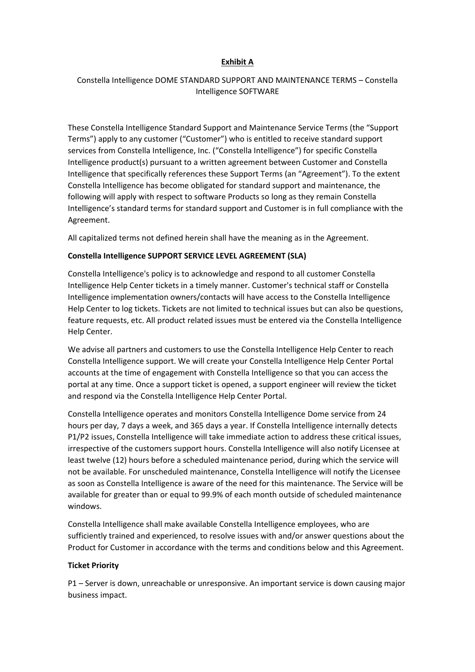## **Exhibit A**

# Constella Intelligence DOME STANDARD SUPPORT AND MAINTENANCE TERMS – Constella Intelligence SOFTWARE

These Constella Intelligence Standard Support and Maintenance Service Terms (the "Support Terms") apply to any customer ("Customer") who is entitled to receive standard support services from Constella Intelligence, Inc. ("Constella Intelligence") for specific Constella Intelligence product(s) pursuant to a written agreement between Customer and Constella Intelligence that specifically references these Support Terms (an "Agreement"). To the extent Constella Intelligence has become obligated for standard support and maintenance, the following will apply with respect to software Products so long as they remain Constella Intelligence's standard terms for standard support and Customer is in full compliance with the Agreement.

All capitalized terms not defined herein shall have the meaning as in the Agreement.

## **Constella Intelligence SUPPORT SERVICE LEVEL AGREEMENT (SLA)**

Constella Intelligence's policy is to acknowledge and respond to all customer Constella Intelligence Help Center tickets in a timely manner. Customer's technical staff or Constella Intelligence implementation owners/contacts will have access to the Constella Intelligence Help Center to log tickets. Tickets are not limited to technical issues but can also be questions, feature requests, etc. All product related issues must be entered via the Constella Intelligence Help Center.

We advise all partners and customers to use the Constella Intelligence Help Center to reach Constella Intelligence support. We will create your Constella Intelligence Help Center Portal accounts at the time of engagement with Constella Intelligence so that you can access the portal at any time. Once a support ticket is opened, a support engineer will review the ticket and respond via the Constella Intelligence Help Center Portal.

Constella Intelligence operates and monitors Constella Intelligence Dome service from 24 hours per day, 7 days a week, and 365 days a year. If Constella Intelligence internally detects P1/P2 issues, Constella Intelligence will take immediate action to address these critical issues, irrespective of the customers support hours. Constella Intelligence will also notify Licensee at least twelve (12) hours before a scheduled maintenance period, during which the service will not be available. For unscheduled maintenance, Constella Intelligence will notify the Licensee as soon as Constella Intelligence is aware of the need for this maintenance. The Service will be available for greater than or equal to 99.9% of each month outside of scheduled maintenance windows.

Constella Intelligence shall make available Constella Intelligence employees, who are sufficiently trained and experienced, to resolve issues with and/or answer questions about the Product for Customer in accordance with the terms and conditions below and this Agreement.

### **Ticket Priority**

P1 – Server is down, unreachable or unresponsive. An important service is down causing major business impact.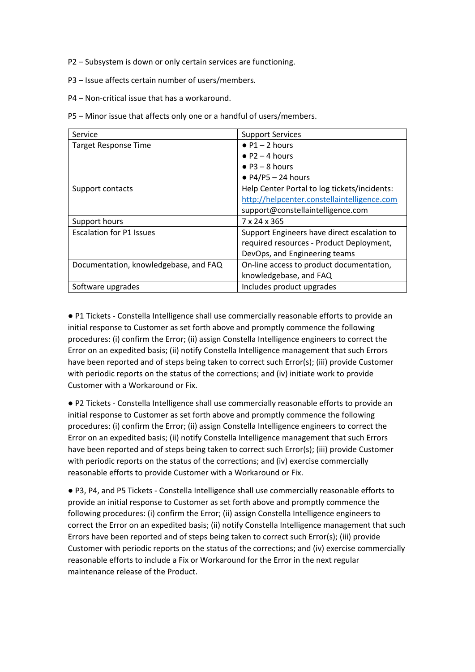- P2 Subsystem is down or only certain services are functioning.
- P3 Issue affects certain number of users/members.
- P4 Non-critical issue that has a workaround.

P5 – Minor issue that affects only one or a handful of users/members.

| Service                               | <b>Support Services</b>                      |
|---------------------------------------|----------------------------------------------|
| <b>Target Response Time</b>           | $\bullet$ P1 - 2 hours                       |
|                                       | $\bullet$ P2 – 4 hours                       |
|                                       | $\bullet$ P3 – 8 hours                       |
|                                       | $\bullet$ P4/P5 - 24 hours                   |
| Support contacts                      | Help Center Portal to log tickets/incidents: |
|                                       | http://helpcenter.constellaintelligence.com  |
|                                       | support@constellaintelligence.com            |
| Support hours                         | 7 x 24 x 365                                 |
| <b>Escalation for P1 Issues</b>       | Support Engineers have direct escalation to  |
|                                       | required resources - Product Deployment,     |
|                                       | DevOps, and Engineering teams                |
| Documentation, knowledgebase, and FAQ | On-line access to product documentation,     |
|                                       | knowledgebase, and FAQ                       |
| Software upgrades                     | Includes product upgrades                    |

● P1 Tickets - Constella Intelligence shall use commercially reasonable efforts to provide an initial response to Customer as set forth above and promptly commence the following procedures: (i) confirm the Error; (ii) assign Constella Intelligence engineers to correct the Error on an expedited basis; (ii) notify Constella Intelligence management that such Errors have been reported and of steps being taken to correct such Error(s); (iii) provide Customer with periodic reports on the status of the corrections; and (iv) initiate work to provide Customer with a Workaround or Fix.

● P2 Tickets - Constella Intelligence shall use commercially reasonable efforts to provide an initial response to Customer as set forth above and promptly commence the following procedures: (i) confirm the Error; (ii) assign Constella Intelligence engineers to correct the Error on an expedited basis; (ii) notify Constella Intelligence management that such Errors have been reported and of steps being taken to correct such Error(s); (iii) provide Customer with periodic reports on the status of the corrections; and (iv) exercise commercially reasonable efforts to provide Customer with a Workaround or Fix.

● P3, P4, and P5 Tickets - Constella Intelligence shall use commercially reasonable efforts to provide an initial response to Customer as set forth above and promptly commence the following procedures: (i) confirm the Error; (ii) assign Constella Intelligence engineers to correct the Error on an expedited basis; (ii) notify Constella Intelligence management that such Errors have been reported and of steps being taken to correct such Error(s); (iii) provide Customer with periodic reports on the status of the corrections; and (iv) exercise commercially reasonable efforts to include a Fix or Workaround for the Error in the next regular maintenance release of the Product.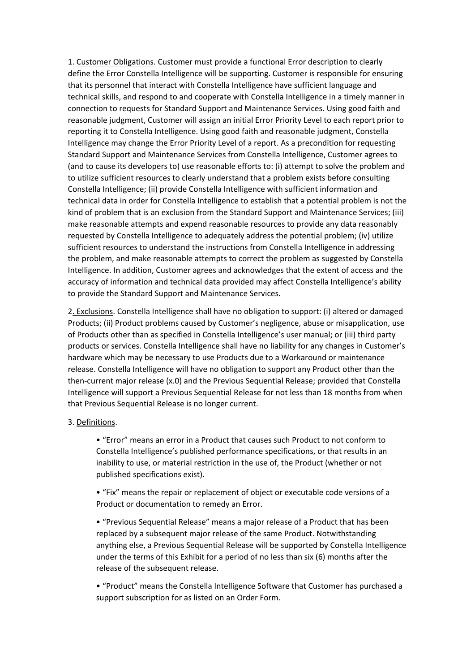1. Customer Obligations. Customer must provide a functional Error description to clearly define the Error Constella Intelligence will be supporting. Customer is responsible for ensuring that its personnel that interact with Constella Intelligence have sufficient language and technical skills, and respond to and cooperate with Constella Intelligence in a timely manner in connection to requests for Standard Support and Maintenance Services. Using good faith and reasonable judgment, Customer will assign an initial Error Priority Level to each report prior to reporting it to Constella Intelligence. Using good faith and reasonable judgment, Constella Intelligence may change the Error Priority Level of a report. As a precondition for requesting Standard Support and Maintenance Services from Constella Intelligence, Customer agrees to (and to cause its developers to) use reasonable efforts to: (i) attempt to solve the problem and to utilize sufficient resources to clearly understand that a problem exists before consulting Constella Intelligence; (ii) provide Constella Intelligence with sufficient information and technical data in order for Constella Intelligence to establish that a potential problem is not the kind of problem that is an exclusion from the Standard Support and Maintenance Services; (iii) make reasonable attempts and expend reasonable resources to provide any data reasonably requested by Constella Intelligence to adequately address the potential problem; (iv) utilize sufficient resources to understand the instructions from Constella Intelligence in addressing the problem, and make reasonable attempts to correct the problem as suggested by Constella Intelligence. In addition, Customer agrees and acknowledges that the extent of access and the accuracy of information and technical data provided may affect Constella Intelligence's ability to provide the Standard Support and Maintenance Services.

2. Exclusions. Constella Intelligence shall have no obligation to support: (i) altered or damaged Products; (ii) Product problems caused by Customer's negligence, abuse or misapplication, use of Products other than as specified in Constella Intelligence's user manual; or (iii) third party products or services. Constella Intelligence shall have no liability for any changes in Customer's hardware which may be necessary to use Products due to a Workaround or maintenance release. Constella Intelligence will have no obligation to support any Product other than the then-current major release (x.0) and the Previous Sequential Release; provided that Constella Intelligence will support a Previous Sequential Release for not less than 18 months from when that Previous Sequential Release is no longer current.

### 3. Definitions.

• "Error" means an error in a Product that causes such Product to not conform to Constella Intelligence's published performance specifications, or that results in an inability to use, or material restriction in the use of, the Product (whether or not published specifications exist).

• "Fix" means the repair or replacement of object or executable code versions of a Product or documentation to remedy an Error.

• "Previous Sequential Release" means a major release of a Product that has been replaced by a subsequent major release of the same Product. Notwithstanding anything else, a Previous Sequential Release will be supported by Constella Intelligence under the terms of this Exhibit for a period of no less than six (6) months after the release of the subsequent release.

• "Product" means the Constella Intelligence Software that Customer has purchased a support subscription for as listed on an Order Form.